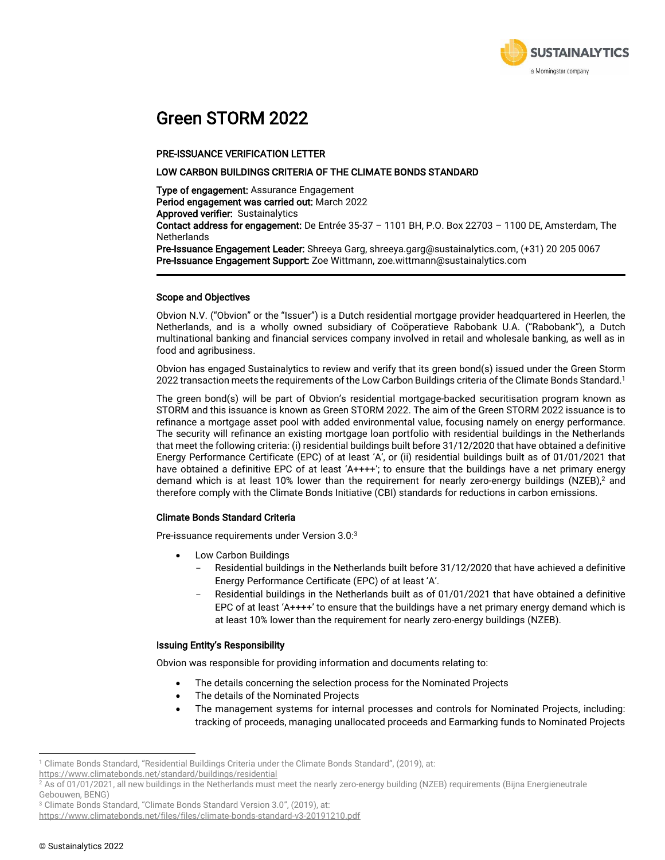

## Green STORM 2022

#### PRE-ISSUANCE VERIFICATION LETTER

#### LOW CARBON BUILDINGS CRITERIA OF THE CLIMATE BONDS STANDARD

Type of engagement: Assurance Engagement Period engagement was carried out: March 2022 Approved verifier: Sustainalytics

Contact address for engagement: De Entrée 35-37 – 1101 BH, P.O. Box 22703 – 1100 DE, Amsterdam, The **Netherlands** 

Pre-Issuance Engagement Leader: Shreeya Garg, shreeya.garg@sustainalytics.com, (+31) 20 205 0067 Pre-Issuance Engagement Support: Zoe Wittmann, zoe.wittmann@sustainalytics.com

#### Scope and Objectives

Obvion N.V. ("Obvion" or the "Issuer") is a Dutch residential mortgage provider headquartered in Heerlen, the Netherlands, and is a wholly owned subsidiary of Coöperatieve Rabobank U.A. ("Rabobank"), a Dutch multinational banking and financial services company involved in retail and wholesale banking, as well as in food and agribusiness.

Obvion has engaged Sustainalytics to review and verify that its green bond(s) issued under the Green Storm 2022 transaction meets the requirements of the Low Carbon Buildings criteria of the Climate Bonds Standard. 1

The green bond(s) will be part of Obvion's residential mortgage-backed securitisation program known as STORM and this issuance is known as Green STORM 2022. The aim of the Green STORM 2022 issuance is to refinance a mortgage asset pool with added environmental value, focusing namely on energy performance. The security will refinance an existing mortgage loan portfolio with residential buildings in the Netherlands that meet the following criteria: (i) residential buildings built before 31/12/2020 that have obtained a definitive Energy Performance Certificate (EPC) of at least 'A', or (ii) residential buildings built as of 01/01/2021 that have obtained a definitive EPC of at least 'A++++'; to ensure that the buildings have a net primary energy demand which is at least 10% lower than the requirement for nearly zero-energy buildings (NZEB), <sup>2</sup> and therefore comply with the Climate Bonds Initiative (CBI) standards for reductions in carbon emissions.

#### Climate Bonds Standard Criteria

Pre-issuance requirements under Version 3.0:3

- Low Carbon Buildings
	- Residential buildings in the Netherlands built before 31/12/2020 that have achieved a definitive Energy Performance Certificate (EPC) of at least 'A'.
	- Residential buildings in the Netherlands built as of 01/01/2021 that have obtained a definitive EPC of at least ' $A$ ++++' to ensure that the buildings have a net primary energy demand which is at least 10% lower than the requirement for nearly zero-energy buildings (NZEB).

#### Issuing Entity's Responsibility

Obvion was responsible for providing information and documents relating to:

- The details concerning the selection process for the Nominated Projects
- The details of the Nominated Projects
- The management systems for internal processes and controls for Nominated Projects, including: tracking of proceeds, managing unallocated proceeds and Earmarking funds to Nominated Projects

<https://www.climatebonds.net/files/files/climate-bonds-standard-v3-20191210.pdf>

<sup>1</sup> Climate Bonds Standard, "Residential Buildings Criteria under the Climate Bonds Standard", (2019), at:

<https://www.climatebonds.net/standard/buildings/residential>

<sup>&</sup>lt;sup>2</sup> As of 01/01/2021, all new buildings in the Netherlands must meet the nearly zero-energy building (NZEB) requirements (Bijna Energieneutrale Gebouwen, BENG)

<sup>&</sup>lt;sup>3</sup> Climate Bonds Standard, "Climate Bonds Standard Version 3.0", (2019), at: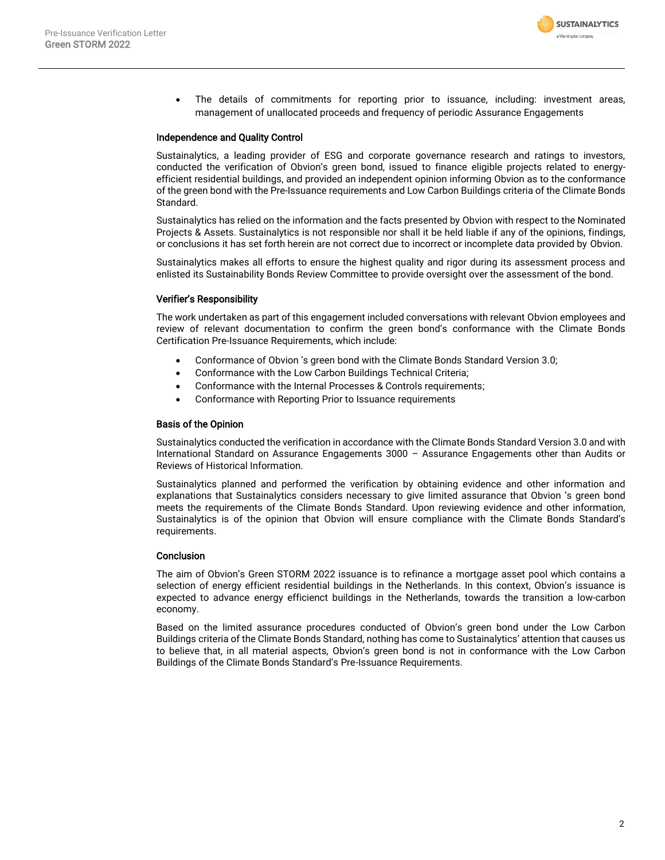

The details of commitments for reporting prior to issuance, including: investment areas, management of unallocated proceeds and frequency of periodic Assurance Engagements

#### Independence and Quality Control

Sustainalytics, a leading provider of ESG and corporate governance research and ratings to investors, conducted the verification of Obvion's green bond, issued to finance eligible projects related to energyefficient residential buildings, and provided an independent opinion informing Obvion as to the conformance of the green bond with the Pre-Issuance requirements and Low Carbon Buildings criteria of the Climate Bonds Standard.

Sustainalytics has relied on the information and the facts presented by Obvion with respect to the Nominated Projects & Assets. Sustainalytics is not responsible nor shall it be held liable if any of the opinions, findings, or conclusions it has set forth herein are not correct due to incorrect or incomplete data provided by Obvion.

Sustainalytics makes all efforts to ensure the highest quality and rigor during its assessment process and enlisted its Sustainability Bonds Review Committee to provide oversight over the assessment of the bond.

#### Verifier's Responsibility

The work undertaken as part of this engagement included conversations with relevant Obvion employees and review of relevant documentation to confirm the green bond's conformance with the Climate Bonds Certification Pre-Issuance Requirements, which include:

- Conformance of Obvion 's green bond with the Climate Bonds Standard Version 3.0;
- Conformance with the Low Carbon Buildings Technical Criteria;
- Conformance with the Internal Processes & Controls requirements;
- Conformance with Reporting Prior to Issuance requirements

#### Basis of the Opinion

Sustainalytics conducted the verification in accordance with the Climate Bonds Standard Version 3.0 and with International Standard on Assurance Engagements 3000 – Assurance Engagements other than Audits or Reviews of Historical Information.

Sustainalytics planned and performed the verification by obtaining evidence and other information and explanations that Sustainalytics considers necessary to give limited assurance that Obvion 's green bond meets the requirements of the Climate Bonds Standard. Upon reviewing evidence and other information, Sustainalytics is of the opinion that Obvion will ensure compliance with the Climate Bonds Standard's requirements.

#### Conclusion

The aim of Obvion's Green STORM 2022 issuance is to refinance a mortgage asset pool which contains a selection of energy efficient residential buildings in the Netherlands. In this context, Obvion's issuance is expected to advance energy efficienct buildings in the Netherlands, towards the transition a low-carbon economy.

Based on the limited assurance procedures conducted of Obvion's green bond under the Low Carbon Buildings criteria of the Climate Bonds Standard, nothing has come to Sustainalytics' attention that causes us to believe that, in all material aspects, Obvion's green bond is not in conformance with the Low Carbon Buildings of the Climate Bonds Standard's Pre-Issuance Requirements.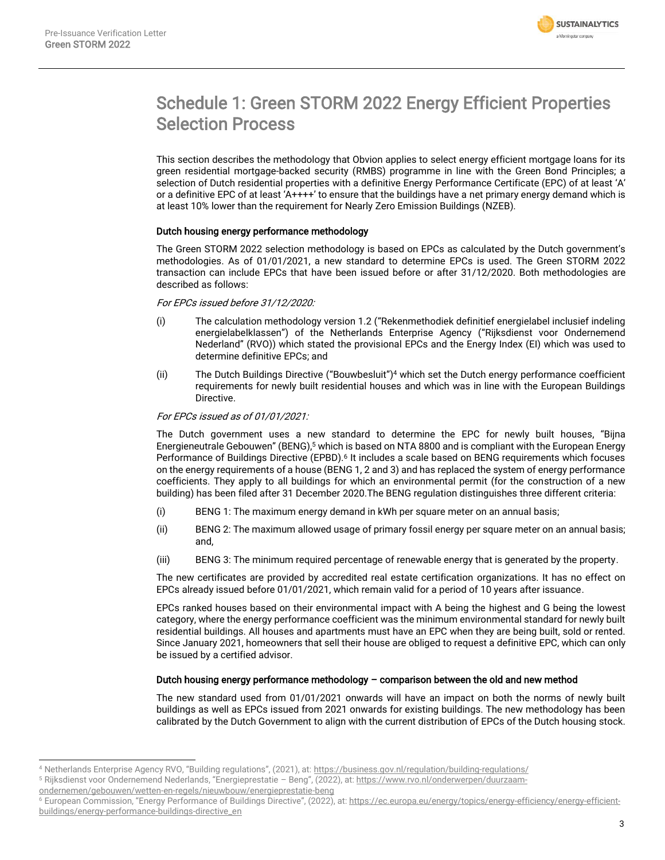

# Schedule 1: Green STORM 2022 Energy Efficient Properties Selection Process

This section describes the methodology that Obvion applies to select energy efficient mortgage loans for its green residential mortgage-backed security (RMBS) programme in line with the Green Bond Principles; a selection of Dutch residential properties with a definitive Energy Performance Certificate (EPC) of at least 'A' or a definitive EPC of at least 'A++++' to ensure that the buildings have a net primary energy demand which is at least 10% lower than the requirement for Nearly Zero Emission Buildings (NZEB).

### Dutch housing energy performance methodology

The Green STORM 2022 selection methodology is based on EPCs as calculated by the Dutch government's methodologies. As of 01/01/2021, a new standard to determine EPCs is used. The Green STORM 2022 transaction can include EPCs that have been issued before or after 31/12/2020. Both methodologies are described as follows:

#### For EPCs issued before 31/12/2020:

- (i) The calculation methodology version 1.2 ("Rekenmethodiek definitief energielabel inclusief indeling energielabelklassen") of the Netherlands Enterprise Agency ("Rijksdienst voor Ondernemend Nederland" (RVO)) which stated the provisional EPCs and the Energy Index (EI) which was used to determine definitive EPCs; and
- (ii) The Dutch Buildings Directive ("Bouwbesluit") <sup>4</sup> which set the Dutch energy performance coefficient requirements for newly built residential houses and which was in line with the European Buildings Directive.

### For EPCs issued as of 01/01/2021:

The Dutch government uses a new standard to determine the EPC for newly built houses, "Bijna Energieneutrale Gebouwen" (BENG), <sup>5</sup> which is based on NTA 8800 and is compliant with the European Energy Performance of Buildings Directive (EPBD).<sup>6</sup> It includes a scale based on BENG requirements which focuses on the energy requirements of a house (BENG 1, 2 and 3) and has replaced the system of energy performance coefficients. They apply to all buildings for which an environmental permit (for the construction of a new building) has been filed after 31 December 2020.The BENG regulation distinguishes three different criteria:

- (i) BENG 1: The maximum energy demand in kWh per square meter on an annual basis;
- (ii) BENG 2: The maximum allowed usage of primary fossil energy per square meter on an annual basis; and,
- (iii) BENG 3: The minimum required percentage of renewable energy that is generated by the property.

The new certificates are provided by accredited real estate certification organizations. It has no effect on EPCs already issued before 01/01/2021, which remain valid for a period of 10 years after issuance.

EPCs ranked houses based on their environmental impact with A being the highest and G being the lowest category, where the energy performance coefficient was the minimum environmental standard for newly built residential buildings. All houses and apartments must have an EPC when they are being built, sold or rented. Since January 2021, homeowners that sell their house are obliged to request a definitive EPC, which can only be issued by a certified advisor.

### Dutch housing energy performance methodology – comparison between the old and new method

The new standard used from 01/01/2021 onwards will have an impact on both the norms of newly built buildings as well as EPCs issued from 2021 onwards for existing buildings. The new methodology has been calibrated by the Dutch Government to align with the current distribution of EPCs of the Dutch housing stock.

<sup>4</sup> Netherlands Enterprise Agency RVO, "Building regulations", (2021), at: <https://business.gov.nl/regulation/building-regulations/>

<sup>5</sup> Rijksdienst voor Ondernemend Nederlands, "Energieprestatie – Beng", (2022), at[: https://www.rvo.nl/onderwerpen/duurzaam-](https://www.rvo.nl/onderwerpen/duurzaam-ondernemen/gebouwen/wetten-en-regels/nieuwbouw/energieprestatie-beng)

[ondernemen/gebouwen/wetten-en-regels/nieuwbouw/energieprestatie-beng](https://www.rvo.nl/onderwerpen/duurzaam-ondernemen/gebouwen/wetten-en-regels/nieuwbouw/energieprestatie-beng)

<sup>&</sup>lt;sup>6</sup> European Commission, "Energy Performance of Buildings Directive", (2022), at[: https://ec.europa.eu/energy/topics/energy-efficiency/energy-efficient](https://ec.europa.eu/energy/topics/energy-efficiency/energy-efficient-buildings/energy-performance-buildings-directive_en)[buildings/energy-performance-buildings-directive\\_en](https://ec.europa.eu/energy/topics/energy-efficiency/energy-efficient-buildings/energy-performance-buildings-directive_en)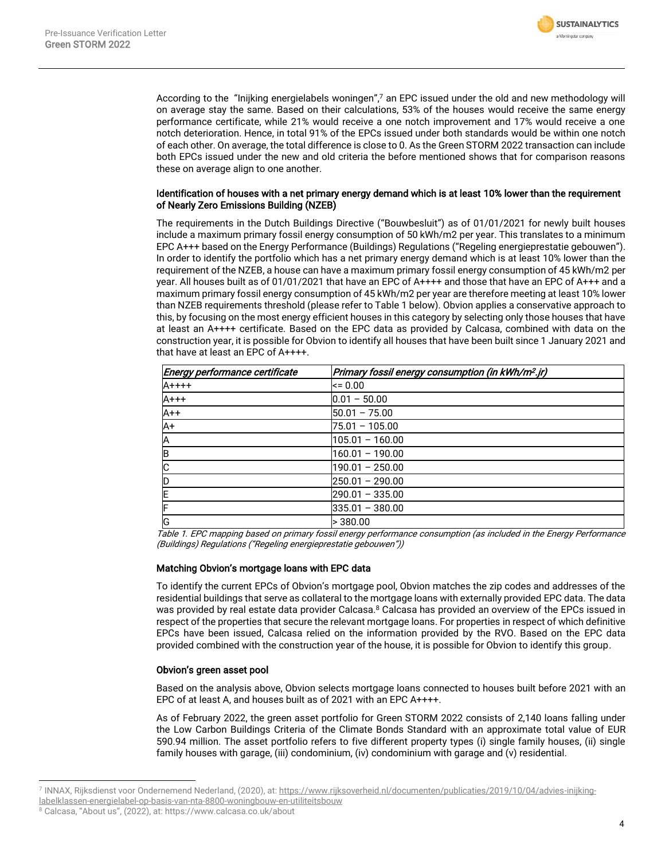

According to the "Inijking energielabels woningen", <sup>7</sup> an EPC issued under the old and new methodology will on average stay the same. Based on their calculations, 53% of the houses would receive the same energy performance certificate, while 21% would receive a one notch improvement and 17% would receive a one notch deterioration. Hence, in total 91% of the EPCs issued under both standards would be within one notch of each other. On average, the total difference is close to 0. As the Green STORM 2022 transaction can include both EPCs issued under the new and old criteria the before mentioned shows that for comparison reasons these on average align to one another.

#### Identification of houses with a net primary energy demand which is at least 10% lower than the requirement of Nearly Zero Emissions Building (NZEB)

The requirements in the Dutch Buildings Directive ("Bouwbesluit") as of 01/01/2021 for newly built houses include a maximum primary fossil energy consumption of 50 kWh/m2 per year. This translates to a minimum EPC A+++ based on the Energy Performance (Buildings) Regulations ("Regeling energieprestatie gebouwen"). In order to identify the portfolio which has a net primary energy demand which is at least 10% lower than the requirement of the NZEB, a house can have a maximum primary fossil energy consumption of 45 kWh/m2 per year. All houses built as of 01/01/2021 that have an EPC of A++++ and those that have an EPC of A+++ and a maximum primary fossil energy consumption of 45 kWh/m2 per year are therefore meeting at least 10% lower than NZEB requirements threshold (please refer to Table 1 below). Obvion applies a conservative approach to this, by focusing on the most energy efficient houses in this category by selecting only those houses that have at least an A++++ certificate. Based on the EPC data as provided by Calcasa, combined with data on the construction year, it is possible for Obvion to identify all houses that have been built since 1 January 2021 and that have at least an EPC of A++++.

| Energy performance certificate | Primary fossil energy consumption (in kWh/m <sup>2</sup> .jr) |  |  |
|--------------------------------|---------------------------------------------------------------|--|--|
| $A$ ++++                       | $= 0.00$                                                      |  |  |
| $A+++$                         | $0.01 - 50.00$                                                |  |  |
| $A++$                          | $50.01 - 75.00$                                               |  |  |
| IA+                            | $75.01 - 105.00$                                              |  |  |
| A                              | $105.01 - 160.00$                                             |  |  |
| B                              | 160.01 - 190.00                                               |  |  |
| C                              | 190.01 - 250.00                                               |  |  |
| ID                             | $250.01 - 290.00$                                             |  |  |
| ΙE                             | $290.01 - 335.00$                                             |  |  |
| ŀ                              | $335.01 - 380.00$                                             |  |  |
| lG                             | >380.00                                                       |  |  |

Table 1. EPC mapping based on primary fossil energy performance consumption (as included in the Energy Performance (Buildings) Regulations ("Regeling energieprestatie gebouwen"))

### Matching Obvion's mortgage loans with EPC data

To identify the current EPCs of Obvion's mortgage pool, Obvion matches the zip codes and addresses of the residential buildings that serve as collateral to the mortgage loans with externally provided EPC data. The data was provided by real estate data provider Calcasa.<sup>8</sup> Calcasa has provided an overview of the EPCs issued in respect of the properties that secure the relevant mortgage loans. For properties in respect of which definitive EPCs have been issued, Calcasa relied on the information provided by the RVO. Based on the EPC data provided combined with the construction year of the house, it is possible for Obvion to identify this group.

#### Obvion's green asset pool

Based on the analysis above, Obvion selects mortgage loans connected to houses built before 2021 with an EPC of at least A, and houses built as of 2021 with an EPC A++++.

As of February 2022, the green asset portfolio for Green STORM 2022 consists of 2,140 loans falling under the Low Carbon Buildings Criteria of the Climate Bonds Standard with an approximate total value of EUR 590.94 million. The asset portfolio refers to five different property types (i) single family houses, (ii) single family houses with garage, (iii) condominium, (iv) condominium with garage and (v) residential.

<sup>7</sup> INNAX, Rijksdienst voor Ondernemend Nederland, (2020), at[: https://www.rijksoverheid.nl/documenten/publicaties/2019/10/04/advies-inijking-](https://www.rijksoverheid.nl/documenten/publicaties/2019/10/04/advies-inijking-labelklassen-energielabel-op-basis-van-nta-8800-woningbouw-en-utiliteitsbouw)

[labelklassen-energielabel-op-basis-van-nta-8800-woningbouw-en-utiliteitsbouw](https://www.rijksoverheid.nl/documenten/publicaties/2019/10/04/advies-inijking-labelklassen-energielabel-op-basis-van-nta-8800-woningbouw-en-utiliteitsbouw)

<sup>8</sup> Calcasa, "About us", (2022), at: https://www.calcasa.co.uk/about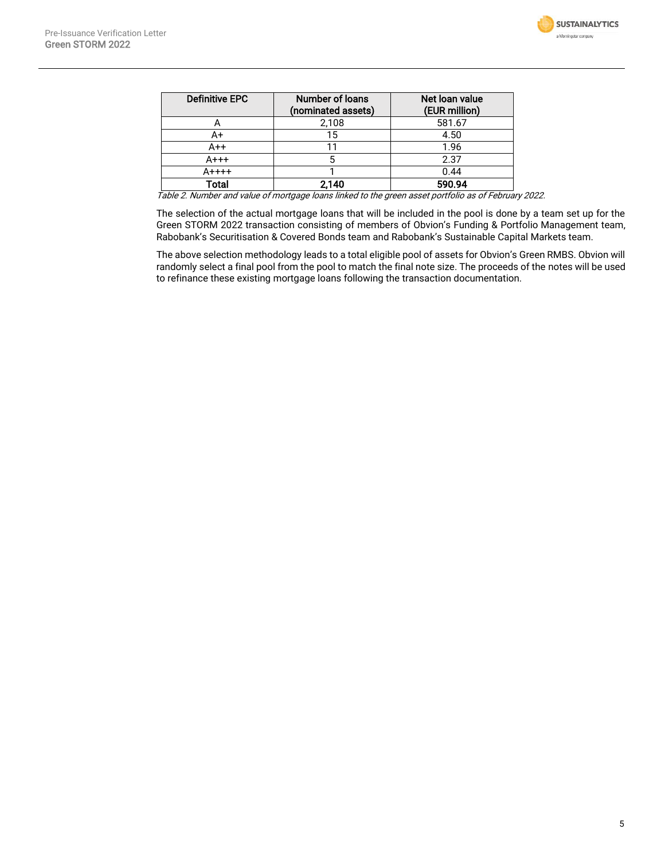

| <b>Definitive EPC</b> | Number of loans<br>(nominated assets) | Net loan value<br>(EUR million) |
|-----------------------|---------------------------------------|---------------------------------|
| 宀                     | 2,108                                 | 581.67                          |
| A+                    | 15                                    | 4.50                            |
| A++                   |                                       | 1.96                            |
| $A+++$                |                                       | 2.37                            |
| $A$ ++++              |                                       | 0.44                            |
| <b>Total</b>          | 2,140                                 | 590.94                          |

Table 2. Number and value of mortgage loans linked to the green asset portfolio as of February 2022.

The selection of the actual mortgage loans that will be included in the pool is done by a team set up for the Green STORM 2022 transaction consisting of members of Obvion's Funding & Portfolio Management team, Rabobank's Securitisation & Covered Bonds team and Rabobank's Sustainable Capital Markets team.

The above selection methodology leads to a total eligible pool of assets for Obvion's Green RMBS. Obvion will randomly select a final pool from the pool to match the final note size. The proceeds of the notes will be used to refinance these existing mortgage loans following the transaction documentation.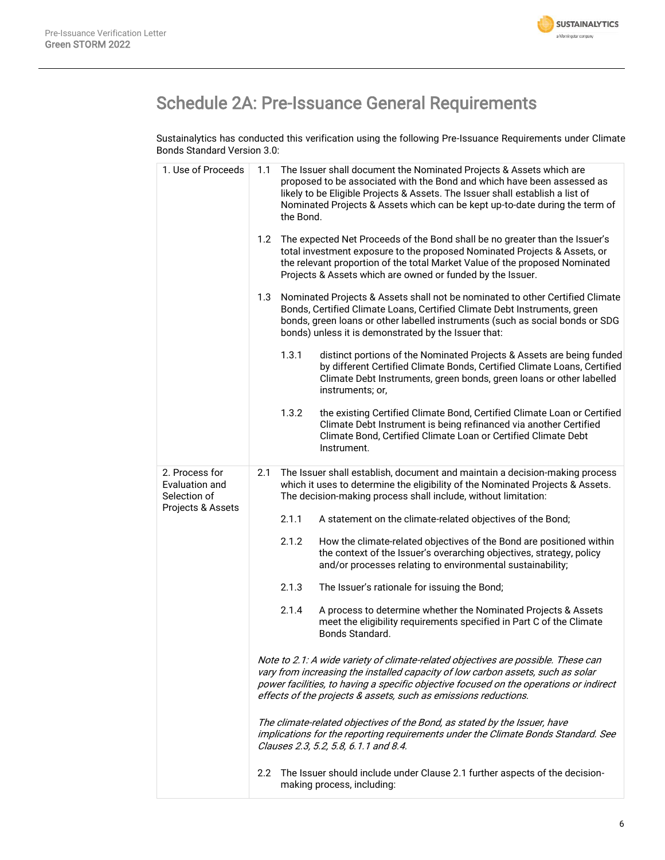

# Schedule 2A: Pre-Issuance General Requirements

Sustainalytics has conducted this verification using the following Pre-Issuance Requirements under Climate Bonds Standard Version 3.0:

| 1. Use of Proceeds                                                    | The Issuer shall document the Nominated Projects & Assets which are<br>1.1<br>proposed to be associated with the Bond and which have been assessed as<br>likely to be Eligible Projects & Assets. The Issuer shall establish a list of<br>Nominated Projects & Assets which can be kept up-to-date during the term of<br>the Bond. |  |  |  |
|-----------------------------------------------------------------------|------------------------------------------------------------------------------------------------------------------------------------------------------------------------------------------------------------------------------------------------------------------------------------------------------------------------------------|--|--|--|
|                                                                       | The expected Net Proceeds of the Bond shall be no greater than the Issuer's<br>$1.2^{\circ}$<br>total investment exposure to the proposed Nominated Projects & Assets, or<br>the relevant proportion of the total Market Value of the proposed Nominated<br>Projects & Assets which are owned or funded by the Issuer.             |  |  |  |
|                                                                       | Nominated Projects & Assets shall not be nominated to other Certified Climate<br>1.3<br>Bonds, Certified Climate Loans, Certified Climate Debt Instruments, green<br>bonds, green loans or other labelled instruments (such as social bonds or SDG<br>bonds) unless it is demonstrated by the Issuer that:                         |  |  |  |
|                                                                       | 1.3.1<br>distinct portions of the Nominated Projects & Assets are being funded<br>by different Certified Climate Bonds, Certified Climate Loans, Certified<br>Climate Debt Instruments, green bonds, green loans or other labelled<br>instruments; or,                                                                             |  |  |  |
|                                                                       | 1.3.2<br>the existing Certified Climate Bond, Certified Climate Loan or Certified<br>Climate Debt Instrument is being refinanced via another Certified<br>Climate Bond, Certified Climate Loan or Certified Climate Debt<br>Instrument.                                                                                            |  |  |  |
| 2. Process for<br>Evaluation and<br>Selection of<br>Projects & Assets | 2.1<br>The Issuer shall establish, document and maintain a decision-making process<br>which it uses to determine the eligibility of the Nominated Projects & Assets.<br>The decision-making process shall include, without limitation:                                                                                             |  |  |  |
|                                                                       | 2.1.1<br>A statement on the climate-related objectives of the Bond;                                                                                                                                                                                                                                                                |  |  |  |
|                                                                       | How the climate-related objectives of the Bond are positioned within<br>2.1.2<br>the context of the Issuer's overarching objectives, strategy, policy<br>and/or processes relating to environmental sustainability;                                                                                                                |  |  |  |
|                                                                       | 2.1.3<br>The Issuer's rationale for issuing the Bond;                                                                                                                                                                                                                                                                              |  |  |  |
|                                                                       | A process to determine whether the Nominated Projects & Assets<br>2.1.4<br>meet the eligibility requirements specified in Part C of the Climate<br>Bonds Standard.                                                                                                                                                                 |  |  |  |
|                                                                       | Note to 2.1: A wide variety of climate-related objectives are possible. These can<br>vary from increasing the installed capacity of low carbon assets, such as solar<br>power facilities, to having a specific objective focused on the operations or indirect<br>effects of the projects & assets, such as emissions reductions.  |  |  |  |
|                                                                       | The climate-related objectives of the Bond, as stated by the Issuer, have<br>implications for the reporting requirements under the Climate Bonds Standard. See<br>Clauses 2.3, 5.2, 5.8, 6.1.1 and 8.4.                                                                                                                            |  |  |  |
|                                                                       | The Issuer should include under Clause 2.1 further aspects of the decision-<br>2.2<br>making process, including:                                                                                                                                                                                                                   |  |  |  |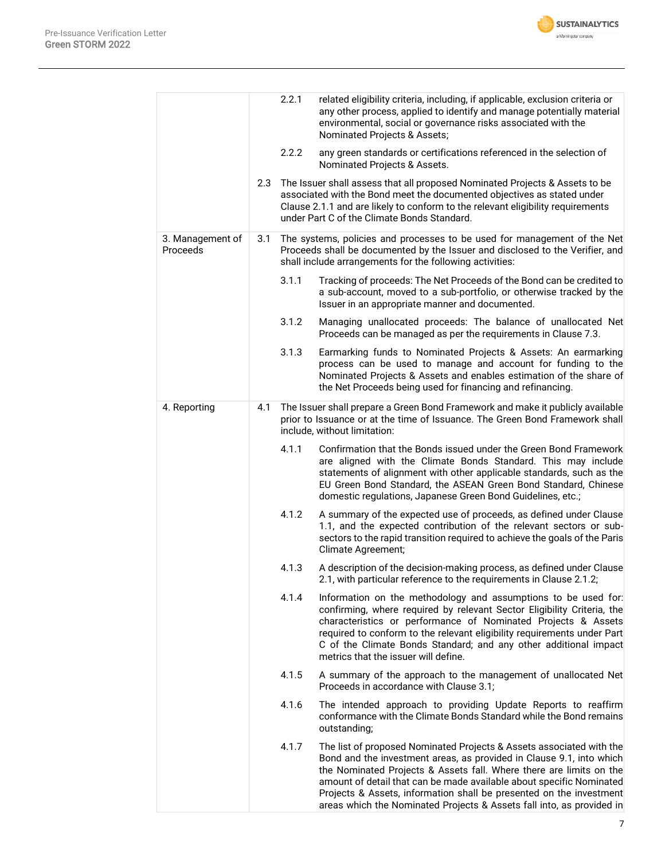

|                              |     | 2.2.1 | related eligibility criteria, including, if applicable, exclusion criteria or<br>any other process, applied to identify and manage potentially material<br>environmental, social or governance risks associated with the<br>Nominated Projects & Assets;                                                                                                                                                                                    |
|------------------------------|-----|-------|---------------------------------------------------------------------------------------------------------------------------------------------------------------------------------------------------------------------------------------------------------------------------------------------------------------------------------------------------------------------------------------------------------------------------------------------|
|                              |     | 2.2.2 | any green standards or certifications referenced in the selection of<br>Nominated Projects & Assets.                                                                                                                                                                                                                                                                                                                                        |
|                              | 2.3 |       | The Issuer shall assess that all proposed Nominated Projects & Assets to be<br>associated with the Bond meet the documented objectives as stated under<br>Clause 2.1.1 and are likely to conform to the relevant eligibility requirements<br>under Part C of the Climate Bonds Standard.                                                                                                                                                    |
| 3. Management of<br>Proceeds | 3.1 |       | The systems, policies and processes to be used for management of the Net<br>Proceeds shall be documented by the Issuer and disclosed to the Verifier, and<br>shall include arrangements for the following activities:                                                                                                                                                                                                                       |
|                              |     | 3.1.1 | Tracking of proceeds: The Net Proceeds of the Bond can be credited to<br>a sub-account, moved to a sub-portfolio, or otherwise tracked by the<br>Issuer in an appropriate manner and documented.                                                                                                                                                                                                                                            |
|                              |     | 3.1.2 | Managing unallocated proceeds: The balance of unallocated Net<br>Proceeds can be managed as per the requirements in Clause 7.3.                                                                                                                                                                                                                                                                                                             |
|                              |     | 3.1.3 | Earmarking funds to Nominated Projects & Assets: An earmarking<br>process can be used to manage and account for funding to the<br>Nominated Projects & Assets and enables estimation of the share of<br>the Net Proceeds being used for financing and refinancing.                                                                                                                                                                          |
| 4. Reporting                 | 4.1 |       | The Issuer shall prepare a Green Bond Framework and make it publicly available<br>prior to Issuance or at the time of Issuance. The Green Bond Framework shall<br>include, without limitation:                                                                                                                                                                                                                                              |
|                              |     | 4.1.1 | Confirmation that the Bonds issued under the Green Bond Framework<br>are aligned with the Climate Bonds Standard. This may include<br>statements of alignment with other applicable standards, such as the<br>EU Green Bond Standard, the ASEAN Green Bond Standard, Chinese<br>domestic regulations, Japanese Green Bond Guidelines, etc.;                                                                                                 |
|                              |     | 4.1.2 | A summary of the expected use of proceeds, as defined under Clause<br>1.1, and the expected contribution of the relevant sectors or sub-<br>sectors to the rapid transition required to achieve the goals of the Paris<br>Climate Agreement;                                                                                                                                                                                                |
|                              |     | 4.1.3 | A description of the decision-making process, as defined under Clause<br>2.1, with particular reference to the requirements in Clause 2.1.2;                                                                                                                                                                                                                                                                                                |
|                              |     | 4.1.4 | Information on the methodology and assumptions to be used for:<br>confirming, where required by relevant Sector Eligibility Criteria, the<br>characteristics or performance of Nominated Projects & Assets<br>required to conform to the relevant eligibility requirements under Part<br>C of the Climate Bonds Standard; and any other additional impact<br>metrics that the issuer will define.                                           |
|                              |     | 4.1.5 | A summary of the approach to the management of unallocated Net<br>Proceeds in accordance with Clause 3.1;                                                                                                                                                                                                                                                                                                                                   |
|                              |     | 4.1.6 | The intended approach to providing Update Reports to reaffirm<br>conformance with the Climate Bonds Standard while the Bond remains<br>outstanding;                                                                                                                                                                                                                                                                                         |
|                              |     | 4.1.7 | The list of proposed Nominated Projects & Assets associated with the<br>Bond and the investment areas, as provided in Clause 9.1, into which<br>the Nominated Projects & Assets fall. Where there are limits on the<br>amount of detail that can be made available about specific Nominated<br>Projects & Assets, information shall be presented on the investment<br>areas which the Nominated Projects & Assets fall into, as provided in |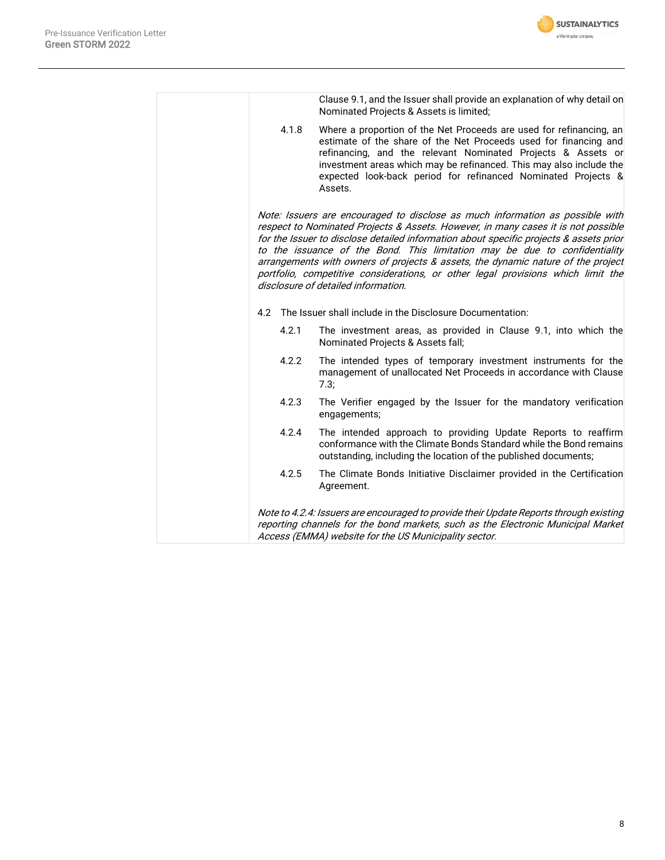

|       | Clause 9.1, and the Issuer shall provide an explanation of why detail on<br>Nominated Projects & Assets is limited;                                                                                                                                                                                                                                                                                                                                                                                                                                       |
|-------|-----------------------------------------------------------------------------------------------------------------------------------------------------------------------------------------------------------------------------------------------------------------------------------------------------------------------------------------------------------------------------------------------------------------------------------------------------------------------------------------------------------------------------------------------------------|
| 4.1.8 | Where a proportion of the Net Proceeds are used for refinancing, an<br>estimate of the share of the Net Proceeds used for financing and<br>refinancing, and the relevant Nominated Projects & Assets or<br>investment areas which may be refinanced. This may also include the<br>expected look-back period for refinanced Nominated Projects &<br>Assets.                                                                                                                                                                                                |
|       | Note: Issuers are encouraged to disclose as much information as possible with<br>respect to Nominated Projects & Assets. However, in many cases it is not possible<br>for the Issuer to disclose detailed information about specific projects & assets prior<br>to the issuance of the Bond. This limitation may be due to confidentiality<br>arrangements with owners of projects & assets, the dynamic nature of the project<br>portfolio, competitive considerations, or other legal provisions which limit the<br>disclosure of detailed information. |
| 4.2   | The Issuer shall include in the Disclosure Documentation:                                                                                                                                                                                                                                                                                                                                                                                                                                                                                                 |
| 4.2.1 | The investment areas, as provided in Clause 9.1, into which the<br>Nominated Projects & Assets fall;                                                                                                                                                                                                                                                                                                                                                                                                                                                      |
| 4.2.2 | The intended types of temporary investment instruments for the<br>management of unallocated Net Proceeds in accordance with Clause<br>7.3;                                                                                                                                                                                                                                                                                                                                                                                                                |
| 4.2.3 | The Verifier engaged by the Issuer for the mandatory verification<br>engagements;                                                                                                                                                                                                                                                                                                                                                                                                                                                                         |
| 4.2.4 | The intended approach to providing Update Reports to reaffirm<br>conformance with the Climate Bonds Standard while the Bond remains<br>outstanding, including the location of the published documents;                                                                                                                                                                                                                                                                                                                                                    |
| 4.2.5 | The Climate Bonds Initiative Disclaimer provided in the Certification<br>Agreement.                                                                                                                                                                                                                                                                                                                                                                                                                                                                       |
|       | Note to 4.2.4: Issuers are encouraged to provide their Update Reports through existing<br>reporting channels for the bond markets, such as the Electronic Municipal Market<br>Access (EMMA) website for the US Municipality sector.                                                                                                                                                                                                                                                                                                                       |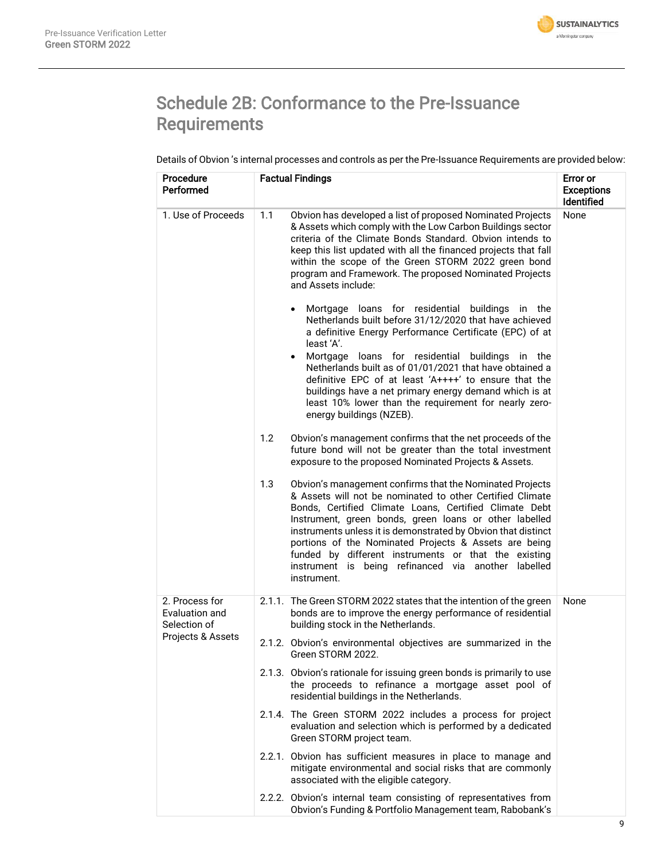

# Schedule 2B: Conformance to the Pre-Issuance Requirements

Details of Obvion 's internal processes and controls as per the Pre-Issuance Requirements are provided below:

| <b>Procedure</b><br>Performed                                         | <b>Factual Findings</b>                                                                                                                                                                                                                                                                                                                                                                                                                                                                                                                                                                                    | Error or<br><b>Exceptions</b><br><b>Identified</b> |
|-----------------------------------------------------------------------|------------------------------------------------------------------------------------------------------------------------------------------------------------------------------------------------------------------------------------------------------------------------------------------------------------------------------------------------------------------------------------------------------------------------------------------------------------------------------------------------------------------------------------------------------------------------------------------------------------|----------------------------------------------------|
| 1. Use of Proceeds                                                    | 1.1<br>Obvion has developed a list of proposed Nominated Projects<br>& Assets which comply with the Low Carbon Buildings sector<br>criteria of the Climate Bonds Standard. Obvion intends to<br>keep this list updated with all the financed projects that fall<br>within the scope of the Green STORM 2022 green bond<br>program and Framework. The proposed Nominated Projects<br>and Assets include:<br>Mortgage loans for residential buildings in the<br>$\bullet$<br>Netherlands built before 31/12/2020 that have achieved<br>a definitive Energy Performance Certificate (EPC) of at<br>least 'A'. | None                                               |
|                                                                       | Mortgage loans for residential buildings in the<br>$\bullet$<br>Netherlands built as of 01/01/2021 that have obtained a<br>definitive EPC of at least 'A++++' to ensure that the<br>buildings have a net primary energy demand which is at<br>least 10% lower than the requirement for nearly zero-<br>energy buildings (NZEB).                                                                                                                                                                                                                                                                            |                                                    |
|                                                                       | Obvion's management confirms that the net proceeds of the<br>1.2<br>future bond will not be greater than the total investment<br>exposure to the proposed Nominated Projects & Assets.                                                                                                                                                                                                                                                                                                                                                                                                                     |                                                    |
|                                                                       | 1.3<br>Obvion's management confirms that the Nominated Projects<br>& Assets will not be nominated to other Certified Climate<br>Bonds, Certified Climate Loans, Certified Climate Debt<br>Instrument, green bonds, green loans or other labelled<br>instruments unless it is demonstrated by Obvion that distinct<br>portions of the Nominated Projects & Assets are being<br>funded by different instruments or that the existing<br>instrument is being refinanced via another labelled<br>instrument.                                                                                                   |                                                    |
| 2. Process for<br>Evaluation and<br>Selection of<br>Projects & Assets | 2.1.1. The Green STORM 2022 states that the intention of the green<br>bonds are to improve the energy performance of residential<br>building stock in the Netherlands.                                                                                                                                                                                                                                                                                                                                                                                                                                     | None                                               |
|                                                                       | 2.1.2. Obvion's environmental objectives are summarized in the<br>Green STORM 2022.                                                                                                                                                                                                                                                                                                                                                                                                                                                                                                                        |                                                    |
|                                                                       | 2.1.3. Obvion's rationale for issuing green bonds is primarily to use<br>the proceeds to refinance a mortgage asset pool of<br>residential buildings in the Netherlands.                                                                                                                                                                                                                                                                                                                                                                                                                                   |                                                    |
|                                                                       | 2.1.4. The Green STORM 2022 includes a process for project<br>evaluation and selection which is performed by a dedicated<br>Green STORM project team.                                                                                                                                                                                                                                                                                                                                                                                                                                                      |                                                    |
|                                                                       | 2.2.1. Obvion has sufficient measures in place to manage and<br>mitigate environmental and social risks that are commonly<br>associated with the eligible category.                                                                                                                                                                                                                                                                                                                                                                                                                                        |                                                    |
|                                                                       | 2.2.2. Obvion's internal team consisting of representatives from<br>Obvion's Funding & Portfolio Management team, Rabobank's                                                                                                                                                                                                                                                                                                                                                                                                                                                                               |                                                    |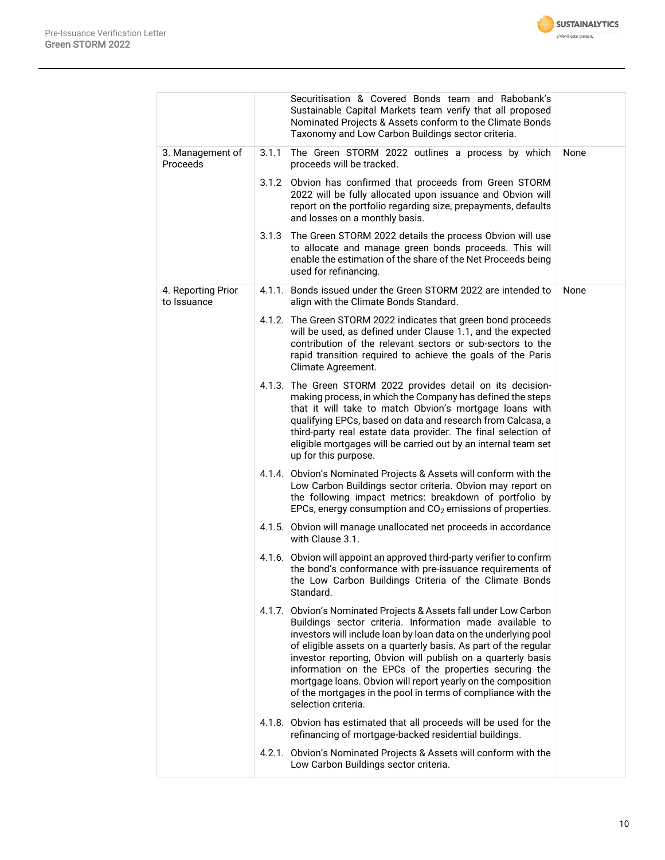

|                                   |       | Securitisation & Covered Bonds team and Rabobank's<br>Sustainable Capital Markets team verify that all proposed<br>Nominated Projects & Assets conform to the Climate Bonds<br>Taxonomy and Low Carbon Buildings sector criteria.                                                                                                                                                                                                                                                                                                                    |      |
|-----------------------------------|-------|------------------------------------------------------------------------------------------------------------------------------------------------------------------------------------------------------------------------------------------------------------------------------------------------------------------------------------------------------------------------------------------------------------------------------------------------------------------------------------------------------------------------------------------------------|------|
| 3. Management of<br>Proceeds      | 3.1.1 | The Green STORM 2022 outlines a process by which<br>proceeds will be tracked.                                                                                                                                                                                                                                                                                                                                                                                                                                                                        | None |
|                                   |       | 3.1.2 Obvion has confirmed that proceeds from Green STORM<br>2022 will be fully allocated upon issuance and Obvion will<br>report on the portfolio regarding size, prepayments, defaults<br>and losses on a monthly basis.                                                                                                                                                                                                                                                                                                                           |      |
|                                   | 3.1.3 | The Green STORM 2022 details the process Obvion will use<br>to allocate and manage green bonds proceeds. This will<br>enable the estimation of the share of the Net Proceeds being<br>used for refinancing.                                                                                                                                                                                                                                                                                                                                          |      |
| 4. Reporting Prior<br>to Issuance |       | 4.1.1. Bonds issued under the Green STORM 2022 are intended to<br>align with the Climate Bonds Standard.                                                                                                                                                                                                                                                                                                                                                                                                                                             | None |
|                                   |       | 4.1.2. The Green STORM 2022 indicates that green bond proceeds<br>will be used, as defined under Clause 1.1, and the expected<br>contribution of the relevant sectors or sub-sectors to the<br>rapid transition required to achieve the goals of the Paris<br>Climate Agreement.                                                                                                                                                                                                                                                                     |      |
|                                   |       | 4.1.3. The Green STORM 2022 provides detail on its decision-<br>making process, in which the Company has defined the steps<br>that it will take to match Obvion's mortgage loans with<br>qualifying EPCs, based on data and research from Calcasa, a<br>third-party real estate data provider. The final selection of<br>eligible mortgages will be carried out by an internal team set<br>up for this purpose.                                                                                                                                      |      |
|                                   |       | 4.1.4. Obvion's Nominated Projects & Assets will conform with the<br>Low Carbon Buildings sector criteria. Obvion may report on<br>the following impact metrics: breakdown of portfolio by<br>EPCs, energy consumption and CO <sub>2</sub> emissions of properties.                                                                                                                                                                                                                                                                                  |      |
|                                   |       | 4.1.5. Obvion will manage unallocated net proceeds in accordance<br>with Clause 3.1.                                                                                                                                                                                                                                                                                                                                                                                                                                                                 |      |
|                                   |       | 4.1.6. Obvion will appoint an approved third-party verifier to confirm<br>the bond's conformance with pre-issuance requirements of<br>the Low Carbon Buildings Criteria of the Climate Bonds<br>Standard.                                                                                                                                                                                                                                                                                                                                            |      |
|                                   |       | 4.1.7. Obvion's Nominated Projects & Assets fall under Low Carbon<br>Buildings sector criteria. Information made available to<br>investors will include loan by loan data on the underlying pool<br>of eligible assets on a quarterly basis. As part of the regular<br>investor reporting, Obvion will publish on a quarterly basis<br>information on the EPCs of the properties securing the<br>mortgage loans. Obvion will report yearly on the composition<br>of the mortgages in the pool in terms of compliance with the<br>selection criteria. |      |
|                                   |       | 4.1.8. Obvion has estimated that all proceeds will be used for the<br>refinancing of mortgage-backed residential buildings.                                                                                                                                                                                                                                                                                                                                                                                                                          |      |
|                                   |       | 4.2.1. Obvion's Nominated Projects & Assets will conform with the<br>Low Carbon Buildings sector criteria.                                                                                                                                                                                                                                                                                                                                                                                                                                           |      |
|                                   |       |                                                                                                                                                                                                                                                                                                                                                                                                                                                                                                                                                      |      |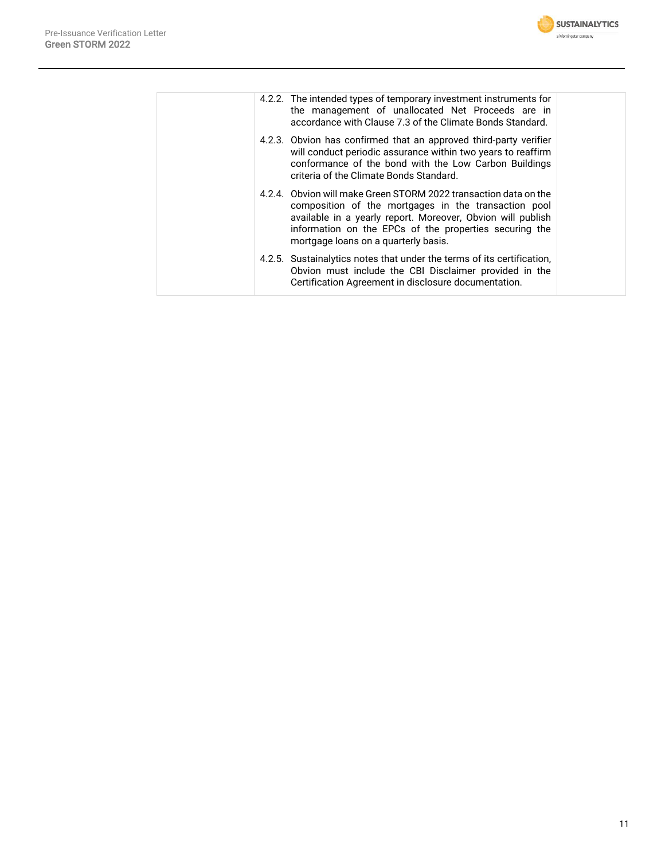

| accordance with Clause 7.3 of the Climate Bonds Standard. |                                                                                                                                                                                                                                                                                                                                                                                                                                                                                                                                                                                                                                                                                                                                                                                                  |
|-----------------------------------------------------------|--------------------------------------------------------------------------------------------------------------------------------------------------------------------------------------------------------------------------------------------------------------------------------------------------------------------------------------------------------------------------------------------------------------------------------------------------------------------------------------------------------------------------------------------------------------------------------------------------------------------------------------------------------------------------------------------------------------------------------------------------------------------------------------------------|
|                                                           |                                                                                                                                                                                                                                                                                                                                                                                                                                                                                                                                                                                                                                                                                                                                                                                                  |
|                                                           |                                                                                                                                                                                                                                                                                                                                                                                                                                                                                                                                                                                                                                                                                                                                                                                                  |
| Certification Agreement in disclosure documentation.      |                                                                                                                                                                                                                                                                                                                                                                                                                                                                                                                                                                                                                                                                                                                                                                                                  |
|                                                           | 4.2.2. The intended types of temporary investment instruments for<br>the management of unallocated Net Proceeds are in<br>4.2.3. Obvion has confirmed that an approved third-party verifier<br>will conduct periodic assurance within two years to reaffirm<br>conformance of the bond with the Low Carbon Buildings<br>criteria of the Climate Bonds Standard.<br>4.2.4. Obvion will make Green STORM 2022 transaction data on the<br>composition of the mortgages in the transaction pool<br>available in a yearly report. Moreover, Obvion will publish<br>information on the EPCs of the properties securing the<br>mortgage loans on a quarterly basis.<br>4.2.5. Sustainalytics notes that under the terms of its certification.<br>Obvion must include the CBI Disclaimer provided in the |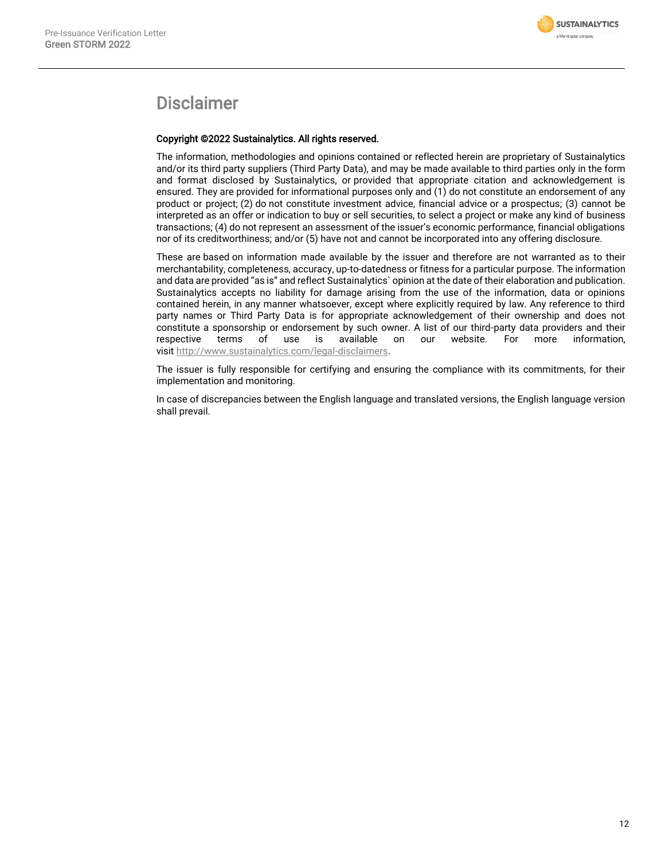

## Disclaimer

#### Copyright ©2022 Sustainalytics. All rights reserved.

The information, methodologies and opinions contained or reflected herein are proprietary of Sustainalytics and/or its third party suppliers (Third Party Data), and may be made available to third parties only in the form and format disclosed by Sustainalytics, or provided that appropriate citation and acknowledgement is ensured. They are provided for informational purposes only and (1) do not constitute an endorsement of any product or project; (2) do not constitute investment advice, financial advice or a prospectus; (3) cannot be interpreted as an offer or indication to buy or sell securities, to select a project or make any kind of business transactions; (4) do not represent an assessment of the issuer's economic performance, financial obligations nor of its creditworthiness; and/or (5) have not and cannot be incorporated into any offering disclosure.

These are based on information made available by the issuer and therefore are not warranted as to their merchantability, completeness, accuracy, up-to-datedness or fitness for a particular purpose. The information and data are provided "as is" and reflect Sustainalytics` opinion at the date of their elaboration and publication. Sustainalytics accepts no liability for damage arising from the use of the information, data or opinions contained herein, in any manner whatsoever, except where explicitly required by law. Any reference to third party names or Third Party Data is for appropriate acknowledgement of their ownership and does not constitute a sponsorship or endorsement by such owner. A list of our third-party data providers and their<br>respective terms of use is available on our website. For more information. respective terms of use is available on our website. For more information, visit [http://www.sustainalytics.com/legal-disclaimers.](http://www.sustainalytics.com/legal-disclaimers)

The issuer is fully responsible for certifying and ensuring the compliance with its commitments, for their implementation and monitoring.

In case of discrepancies between the English language and translated versions, the English language version shall prevail.